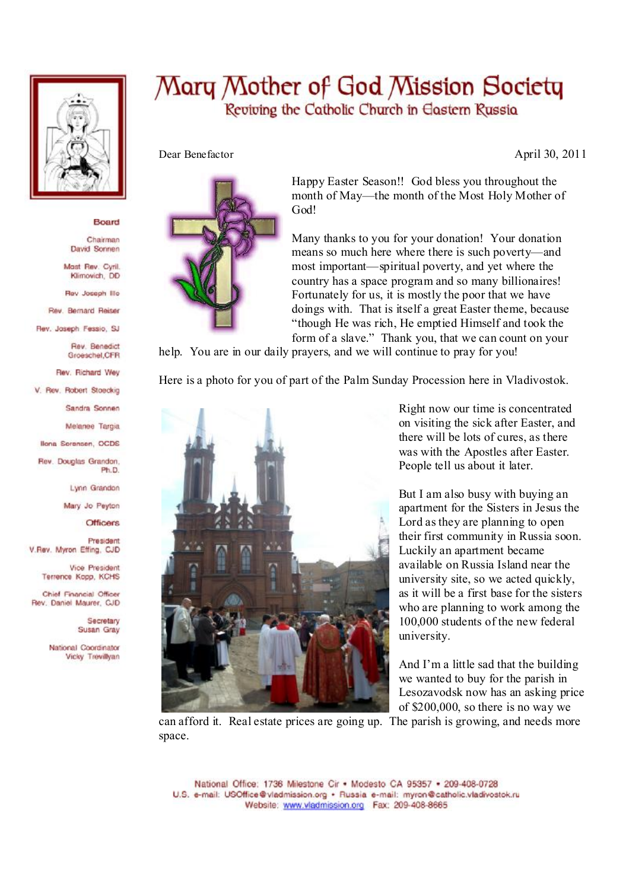

## Board

Chairman David Sonnen

Mast Rev. Cyril. Klimovich, DD

Rev Joseph Illo

Rev. Bernard Reiser

Rev. Joseph Fessio, SJ

Rev. Benedict Groeschel, CFR

Rev. Richard Wey

V. Rev. Robert Stoeckig

Sandra Sonnen

Melanee Targia

**Ilona Sorensen, OCDS** 

Rev. Douglas Grandon. Ph.D.

Lynn Grandon

Mary Jo Peyton

**Officers** 

President V.Rev. Myron Effing, CJD

> Vice President Terrence Kopp, KCHS

Chief Financial Officer Rev. Daniel Maurer, CJD

> Secretary Susan Gray

National Coordinator Vicky Trevillyan

## Mary Mother of God Mission Society Reviving the Catholic Church in Eastern Russia



Happy Easter Season!! God bless you throughout the month of May—the month of the Most Holy Mother of God!

Many thanks to you for your donation! Your donation means so much here where there is such poverty—and most important—spiritual poverty, and yet where the country has a space program and so many billionaires! Fortunately for us, it is mostly the poor that we have doings with. That is itself a great Easter theme, because "though He was rich, He emptied Himself and took the form of a slave." Thank you, that we can count on your

help. You are in our daily prayers, and we will continue to pray for you!

Here is a photo for you of part of the Palm Sunday Procession here in Vladivostok.



Right now our time is concentrated on visiting the sick after Easter, and there will be lots of cures, as there was with the Apostles after Easter. People tell us about it later.

But I am also busy with buying an apartment for the Sisters in Jesus the Lord asthey are planning to open their first community in Russia soon. Luckily an apartment became available on Russia Island near the university site, so we acted quickly, as it will be a first base for the sisters who are planning to work among the 100,000 students of the new federal university.

And I'm a little sad that the building we wanted to buy for the parish in Lesozavodsk now has an asking price of \$200,000, so there is no way we

can afford it. Real estate prices are going up. The parish is growing, and needs more space.

Dear Benefactor April 30, 2011